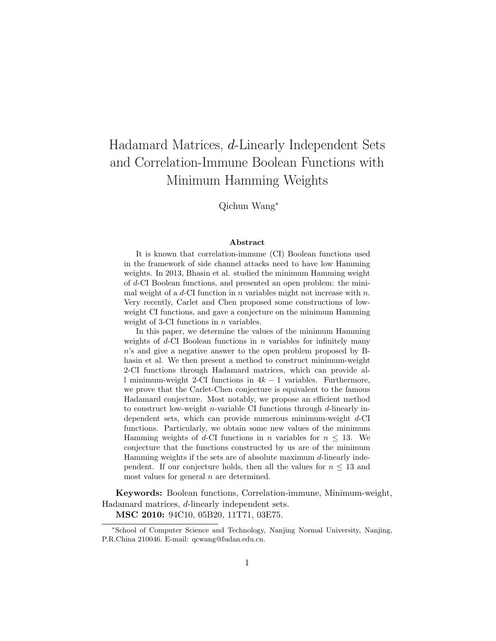# Hadamard Matrices, d-Linearly Independent Sets and Correlation-Immune Boolean Functions with Minimum Hamming Weights

Qichun Wang<sup>∗</sup>

#### Abstract

It is known that correlation-immune (CI) Boolean functions used in the framework of side channel attacks need to have low Hamming weights. In 2013, Bhasin et al. studied the minimum Hamming weight of d-CI Boolean functions, and presented an open problem: the minimal weight of a  $d$ -CI function in n variables might not increase with n. Very recently, Carlet and Chen proposed some constructions of lowweight CI functions, and gave a conjecture on the minimum Hamming weight of 3-CI functions in  $n$  variables.

In this paper, we determine the values of the minimum Hamming weights of  $d$ -CI Boolean functions in  $n$  variables for infinitely many n's and give a negative answer to the open problem proposed by Bhasin et al. We then present a method to construct minimum-weight 2-CI functions through Hadamard matrices, which can provide all minimum-weight 2-CI functions in  $4k-1$  variables. Furthermore, we prove that the Carlet-Chen conjecture is equivalent to the famous Hadamard conjecture. Most notably, we propose an efficient method to construct low-weight *n*-variable CI functions through  $d$ -linearly independent sets, which can provide numerous minimum-weight d-CI functions. Particularly, we obtain some new values of the minimum Hamming weights of d-CI functions in n variables for  $n \leq 13$ . We conjecture that the functions constructed by us are of the minimum Hamming weights if the sets are of absolute maximum  $d$ -linearly independent. If our conjecture holds, then all the values for  $n \leq 13$  and most values for general  $n$  are determined.

Keywords: Boolean functions, Correlation-immune, Minimum-weight, Hadamard matrices, d-linearly independent sets. MSC 2010: 94C10, 05B20, 11T71, 03E75.

<sup>∗</sup>School of Computer Science and Technology, Nanjing Normal University, Nanjing, P.R.China 210046. E-mail: qcwang@fudan.edu.cn.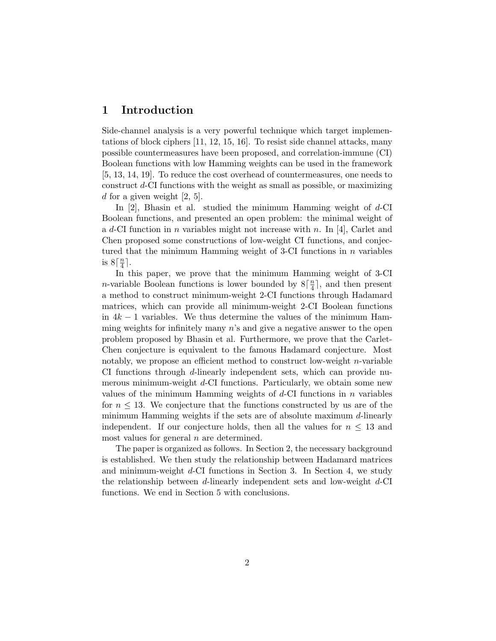# 1 Introduction

Side-channel analysis is a very powerful technique which target implementations of block ciphers [11, 12, 15, 16]. To resist side channel attacks, many possible countermeasures have been proposed, and correlation-immune (CI) Boolean functions with low Hamming weights can be used in the framework [5, 13, 14, 19]. To reduce the cost overhead of countermeasures, one needs to construct d-CI functions with the weight as small as possible, or maximizing d for a given weight  $[2, 5]$ .

In  $[2]$ , Bhasin et al. studied the minimum Hamming weight of  $d$ -CI Boolean functions, and presented an open problem: the minimal weight of a d-CI function in n variables might not increase with n. In [4], Carlet and Chen proposed some constructions of low-weight CI functions, and conjectured that the minimum Hamming weight of 3-CI functions in  $n$  variables is  $8\lceil \frac{n}{4}$  $\frac{n}{4}$ .

In this paper, we prove that the minimum Hamming weight of 3-CI *n*-variable Boolean functions is lower bounded by  $8\left[\frac{n}{4}\right]$  $\frac{n}{4}$ , and then present a method to construct minimum-weight 2-CI functions through Hadamard matrices, which can provide all minimum-weight 2-CI Boolean functions in  $4k-1$  variables. We thus determine the values of the minimum Hamming weights for infinitely many  $n$ 's and give a negative answer to the open problem proposed by Bhasin et al. Furthermore, we prove that the Carlet-Chen conjecture is equivalent to the famous Hadamard conjecture. Most notably, we propose an efficient method to construct low-weight  $n$ -variable CI functions through d-linearly independent sets, which can provide numerous minimum-weight d-CI functions. Particularly, we obtain some new values of the minimum Hamming weights of  $d$ -CI functions in n variables for  $n \leq 13$ . We conjecture that the functions constructed by us are of the minimum Hamming weights if the sets are of absolute maximum d-linearly independent. If our conjecture holds, then all the values for  $n \leq 13$  and most values for general  $n$  are determined.

The paper is organized as follows. In Section 2, the necessary background is established. We then study the relationship between Hadamard matrices and minimum-weight d-CI functions in Section 3. In Section 4, we study the relationship between d-linearly independent sets and low-weight  $d$ -CI functions. We end in Section 5 with conclusions.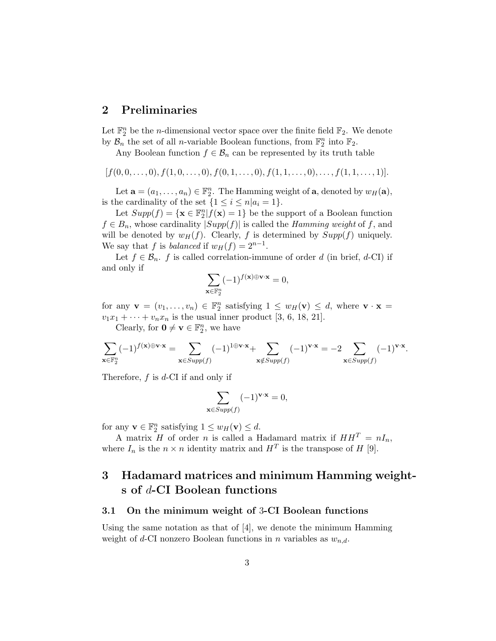# 2 Preliminaries

Let  $\mathbb{F}_2^n$  be the *n*-dimensional vector space over the finite field  $\mathbb{F}_2$ . We denote by  $\mathcal{B}_n$  the set of all *n*-variable Boolean functions, from  $\mathbb{F}_2^n$  into  $\mathbb{F}_2$ .

Any Boolean function  $f \in \mathcal{B}_n$  can be represented by its truth table

$$
[f(0,0,\ldots,0), f(1,0,\ldots,0), f(0,1,\ldots,0), f(1,1,\ldots,0),\ldots, f(1,1,\ldots,1)].
$$

Let  $\mathbf{a} = (a_1, \dots, a_n) \in \mathbb{F}_2^n$ . The Hamming weight of  $\mathbf{a}$ , denoted by  $w_H(\mathbf{a})$ , is the cardinality of the set  $\{1 \leq i \leq n | a_i = 1\}.$ 

Let  $Supp(f) = {\mathbf{x} \in \mathbb{F}_2^n | f(\mathbf{x}) = 1}$  be the support of a Boolean function  $f \in B_n$ , whose cardinality  $|Supp(f)|$  is called the *Hamming weight* of f, and will be denoted by  $w_H(f)$ . Clearly, f is determined by  $Supp(f)$  uniquely. We say that f is *balanced* if  $w_H(f) = 2^{n-1}$ .

Let  $f \in \mathcal{B}_n$ . f is called correlation-immune of order d (in brief, d-CI) if and only if

$$
\sum_{\mathbf{x}\in\mathbb{F}_2^n} (-1)^{f(\mathbf{x})\oplus\mathbf{v}\cdot\mathbf{x}} = 0,
$$

for any  $\mathbf{v} = (v_1, \dots, v_n) \in \mathbb{F}_2^n$  satisfying  $1 \leq w_H(\mathbf{v}) \leq d$ , where  $\mathbf{v} \cdot \mathbf{x} =$  $v_1x_1 + \cdots + v_nx_n$  is the usual inner product [3, 6, 18, 21].

Clearly, for  $\mathbf{0} \neq \mathbf{v} \in \mathbb{F}_2^n$ , we have

$$
\sum_{\mathbf{x}\in\mathbb{F}_2^n} (-1)^{f(\mathbf{x})\oplus \mathbf{v}\cdot\mathbf{x}} = \sum_{\mathbf{x}\in Supp(f)} (-1)^{1\oplus \mathbf{v}\cdot\mathbf{x}} + \sum_{\mathbf{x}\notin Supp(f)} (-1)^{\mathbf{v}\cdot\mathbf{x}} = -2\sum_{\mathbf{x}\in Supp(f)} (-1)^{\mathbf{v}\cdot\mathbf{x}}.
$$

Therefore,  $f$  is  $d$ -CI if and only if

$$
\sum_{\mathbf{x}\in Supp(f)} (-1)^{\mathbf{v}\cdot\mathbf{x}} = 0,
$$

for any  $\mathbf{v} \in \mathbb{F}_2^n$  satisfying  $1 \leq w_H(\mathbf{v}) \leq d$ .

A matrix H of order n is called a Hadamard matrix if  $HH<sup>T</sup> = nI<sub>n</sub>$ , where  $I_n$  is the  $n \times n$  identity matrix and  $H^T$  is the transpose of H [9].

# 3 Hadamard matrices and minimum Hamming weights of d-CI Boolean functions

#### 3.1 On the minimum weight of 3-CI Boolean functions

Using the same notation as that of  $[4]$ , we denote the minimum Hamming weight of d-CI nonzero Boolean functions in n variables as  $w_{n,d}$ .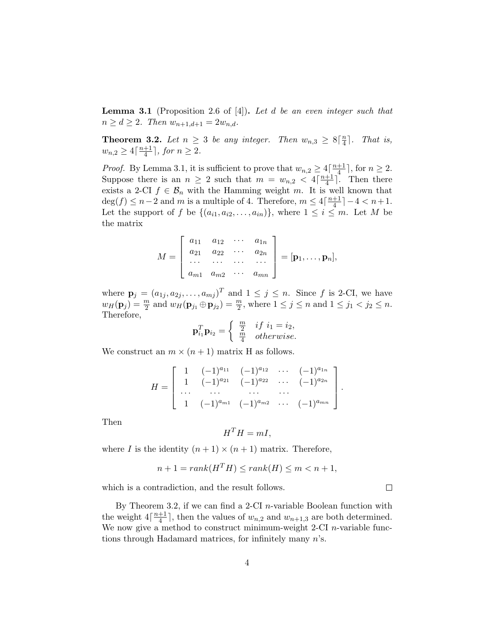**Lemma 3.1** (Proposition 2.6 of [4]). Let d be an even integer such that  $n \geq d \geq 2$ . Then  $w_{n+1,d+1} = 2w_{n,d}$ .

**Theorem 3.2.** Let  $n \geq 3$  be any integer. Then  $w_{n,3} \geq 8\lceil \frac{n}{4} \rceil$  $\frac{n}{4}$ . That is,  $w_{n,2} \geq 4\lceil \frac{n+1}{4} \rceil$  $\frac{+1}{4}$ , for  $n \geq 2$ .

*Proof.* By Lemma 3.1, it is sufficient to prove that  $w_{n,2} \geq 4 \lceil \frac{n+1}{4} \rceil$  $\frac{+1}{4}$ , for  $n \geq 2$ . Suppose there is an  $n \geq 2$  such that  $m = w_{n,2} < 4\lceil \frac{n+1}{4} \rceil$  $\frac{+1}{4}$ . Then there exists a 2-CI  $f \in \mathcal{B}_n$  with the Hamming weight m. It is well known that  $deg(f) \leq n-2$  and m is a multiple of 4. Therefore,  $m \leq 4\lceil \frac{n+1}{4} \rceil$  $\frac{+1}{4}$ ] – 4 < n + 1. Let the support of f be  $\{(a_{i1}, a_{i2}, \ldots, a_{in})\}$ , where  $1 \leq i \leq m$ . Let M be the matrix

$$
M = \begin{bmatrix} a_{11} & a_{12} & \cdots & a_{1n} \\ a_{21} & a_{22} & \cdots & a_{2n} \\ \cdots & \cdots & \cdots & \cdots \\ a_{m1} & a_{m2} & \cdots & a_{mn} \end{bmatrix} = [\mathbf{p}_1, \ldots, \mathbf{p}_n],
$$

where  $\mathbf{p}_j = (a_{1j}, a_{2j}, \dots, a_{mj})^T$  and  $1 \leq j \leq n$ . Since f is 2-CI, we have  $w_H(\mathbf{p}_j) = \frac{m}{2}$  and  $w_H(\mathbf{p}_{j_1} \oplus \mathbf{p}_{j_2}) = \frac{m}{2}$ , where  $1 \leq j \leq n$  and  $1 \leq j_1 < j_2 \leq n$ . Therefore,

$$
\mathbf{p}_{i_1}^T \mathbf{p}_{i_2} = \begin{cases} \frac{m}{2} & if \ i_1 = i_2, \\ \frac{m}{4} & otherwise. \end{cases}
$$

We construct an  $m \times (n+1)$  matrix H as follows.

$$
H = \left[ \begin{array}{cccccc} 1 & (-1)^{a_{11}} & (-1)^{a_{12}} & \cdots & (-1)^{a_{1n}} \\ 1 & (-1)^{a_{21}} & (-1)^{a_{22}} & \cdots & (-1)^{a_{2n}} \\ \cdots & \cdots & \cdots & \cdots & \cdots \\ 1 & (-1)^{a_{m1}} & (-1)^{a_{m2}} & \cdots & (-1)^{a_{mn}} \end{array} \right].
$$

Then

$$
H^T H = mI,
$$

where I is the identity  $(n + 1) \times (n + 1)$  matrix. Therefore,

$$
n + 1 = rank(H^T H) \le rank(H) \le m < n + 1,
$$

 $\Box$ 

which is a contradiction, and the result follows.

By Theorem 3.2, if we can find a 2-CI *n*-variable Boolean function with the weight  $4\lceil \frac{n+1}{4} \rceil$  $\frac{+1}{4}$ , then the values of  $w_{n,2}$  and  $w_{n+1,3}$  are both determined. We now give a method to construct minimum-weight 2-CI *n*-variable functions through Hadamard matrices, for infinitely many n's.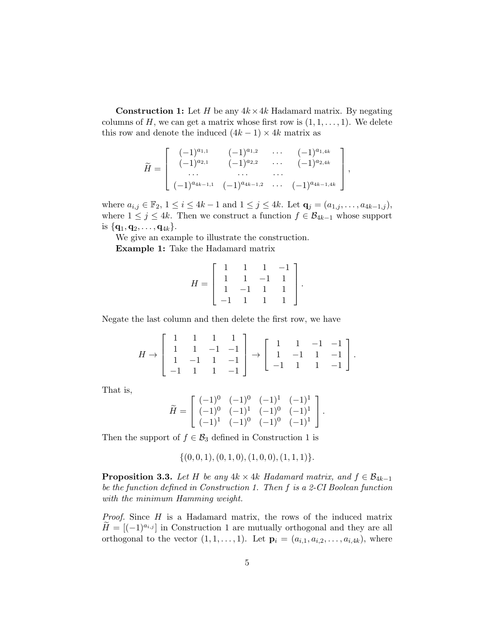**Construction 1:** Let H be any  $4k \times 4k$  Hadamard matrix. By negating columns of  $H$ , we can get a matrix whose first row is  $(1, 1, \ldots, 1)$ . We delete this row and denote the induced  $(4k - 1) \times 4k$  matrix as

$$
\widetilde{H} = \left[ \begin{array}{cccc} (-1)^{a_{1,1}} & (-1)^{a_{1,2}} & \cdots & (-1)^{a_{1,4k}} \\ (-1)^{a_{2,1}} & (-1)^{a_{2,2}} & \cdots & (-1)^{a_{2,4k}} \\ \cdots & \cdots & \cdots & \cdots \\ (-1)^{a_{4k-1,1}} & (-1)^{a_{4k-1,2}} & \cdots & (-1)^{a_{4k-1,4k}} \end{array} \right]
$$

,

where  $a_{i,j} \in \mathbb{F}_2$ ,  $1 \leq i \leq 4k-1$  and  $1 \leq j \leq 4k$ . Let  $\mathbf{q}_j = (a_{1,j}, \ldots, a_{4k-1,j}),$ where  $1 \leq j \leq 4k$ . Then we construct a function  $f \in \mathcal{B}_{4k-1}$  whose support is  $\{ {\bf q}_1, {\bf q}_2, \ldots, {\bf q}_{4k} \}.$ 

We give an example to illustrate the construction.

Example 1: Take the Hadamard matrix

$$
H = \left[ \begin{array}{rrrr} 1 & 1 & 1 & -1 \\ 1 & 1 & -1 & 1 \\ 1 & -1 & 1 & 1 \\ -1 & 1 & 1 & 1 \end{array} \right].
$$

Negate the last column and then delete the first row, we have

$$
H \rightarrow \left[\begin{array}{rrrrr} 1 & 1 & 1 & 1 \\ 1 & 1 & -1 & -1 \\ 1 & -1 & 1 & -1 \\ -1 & 1 & 1 & -1 \end{array}\right] \rightarrow \left[\begin{array}{rrrrr} 1 & 1 & -1 & -1 \\ 1 & -1 & 1 & -1 \\ -1 & 1 & 1 & -1 \end{array}\right].
$$

That is,

$$
\widetilde{H} = \left[ \begin{array}{cccc} (-1)^0 & (-1)^0 & (-1)^1 & (-1)^1 \\ (-1)^0 & (-1)^1 & (-1)^0 & (-1)^1 \\ (-1)^1 & (-1)^0 & (-1)^0 & (-1)^1 \end{array} \right].
$$

Then the support of  $f \in \mathcal{B}_3$  defined in Construction 1 is

$$
\{(0,0,1), (0,1,0), (1,0,0), (1,1,1)\}.
$$

**Proposition 3.3.** Let H be any  $4k \times 4k$  Hadamard matrix, and  $f \in \mathcal{B}_{4k-1}$ be the function defined in Construction 1. Then f is a 2-CI Boolean function with the minimum Hamming weight.

Proof. Since H is a Hadamard matrix, the rows of the induced matrix  $H = \left[(-1)^{a_{i,j}}\right]$  in Construction 1 are mutually orthogonal and they are all orthogonal to the vector  $(1, 1, \ldots, 1)$ . Let  $\mathbf{p}_i = (a_{i,1}, a_{i,2}, \ldots, a_{i,4k})$ , where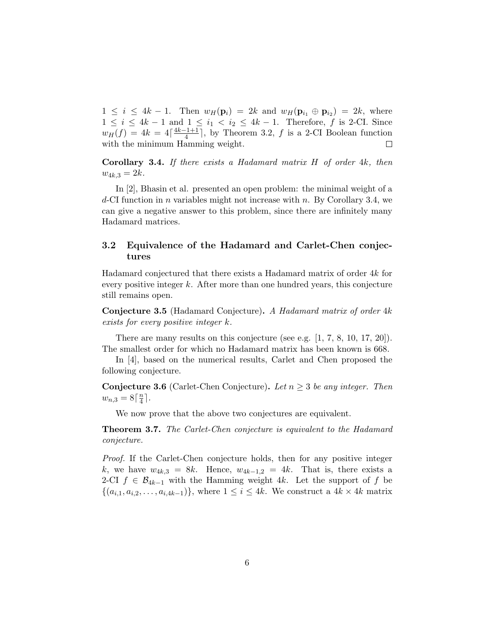$1 \leq i \leq 4k - 1$ . Then  $w_H(\mathbf{p}_i) = 2k$  and  $w_H(\mathbf{p}_{i_1} \oplus \mathbf{p}_{i_2}) = 2k$ , where  $1 \leq i \leq 4k-1$  and  $1 \leq i_1 < i_2 \leq 4k-1$ . Therefore, f is 2-CI. Since  $w_H(f) = 4k = 4\lceil \frac{4k-1+1}{4} \rceil$  $\frac{f_1+1}{4}$ , by Theorem 3.2, f is a 2-CI Boolean function with the minimum Hamming weight. □

**Corollary 3.4.** If there exists a Hadamard matrix  $H$  of order  $4k$ , then  $w_{4k,3} = 2k.$ 

In [2], Bhasin et al. presented an open problem: the minimal weight of a  $d$ -CI function in *n* variables might not increase with *n*. By Corollary 3.4, we can give a negative answer to this problem, since there are infinitely many Hadamard matrices.

### 3.2 Equivalence of the Hadamard and Carlet-Chen conjectures

Hadamard conjectured that there exists a Hadamard matrix of order 4k for every positive integer  $k$ . After more than one hundred years, this conjecture still remains open.

Conjecture 3.5 (Hadamard Conjecture). A Hadamard matrix of order 4k exists for every positive integer k.

There are many results on this conjecture (see e.g. [1, 7, 8, 10, 17, 20]). The smallest order for which no Hadamard matrix has been known is 668.

In [4], based on the numerical results, Carlet and Chen proposed the following conjecture.

**Conjecture 3.6** (Carlet-Chen Conjecture). Let  $n \geq 3$  be any integer. Then  $w_{n,3} = 8\lceil \frac{n}{4} \rceil$  $\frac{n}{4}$ .

We now prove that the above two conjectures are equivalent.

**Theorem 3.7.** The Carlet-Chen conjecture is equivalent to the Hadamard conjecture.

Proof. If the Carlet-Chen conjecture holds, then for any positive integer k, we have  $w_{4k,3} = 8k$ . Hence,  $w_{4k-1,2} = 4k$ . That is, there exists a 2-CI  $f \in \mathcal{B}_{4k-1}$  with the Hamming weight 4k. Let the support of f be  $\{(a_{i,1}, a_{i,2}, \ldots, a_{i,4k-1})\},\$  where  $1 \leq i \leq 4k$ . We construct a  $4k \times 4k$  matrix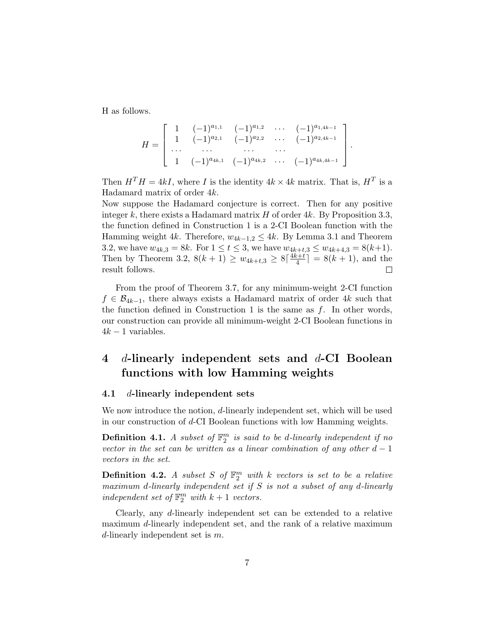H as follows.

$$
H = \left[ \begin{array}{cccccc} 1 & (-1)^{a_{1,1}} & (-1)^{a_{1,2}} & \cdots & (-1)^{a_{1,4k-1}} \\ 1 & (-1)^{a_{2,1}} & (-1)^{a_{2,2}} & \cdots & (-1)^{a_{2,4k-1}} \\ \cdots & \cdots & \cdots & \cdots & \cdots \\ 1 & (-1)^{a_{4k,1}} & (-1)^{a_{4k,2}} & \cdots & (-1)^{a_{4k,4k-1}} \end{array} \right].
$$

Then  $H^T H = 4kI$ , where I is the identity  $4k \times 4k$  matrix. That is,  $H^T$  is a Hadamard matrix of order 4k.

Now suppose the Hadamard conjecture is correct. Then for any positive integer k, there exists a Hadamard matrix  $H$  of order 4k. By Proposition 3.3, the function defined in Construction 1 is a 2-CI Boolean function with the Hamming weight 4k. Therefore,  $w_{4k-1,2} \leq 4k$ . By Lemma 3.1 and Theorem 3.2, we have  $w_{4k,3} = 8k$ . For  $1 \le t \le 3$ , we have  $w_{4k+t,3} \le w_{4k+4,3} = 8(k+1)$ . Then by Theorem 3.2,  $8(k+1) \geq w_{4k+t,3} \geq 8 \lceil \frac{4k+t}{4} \rceil$  $\left[\frac{k+t}{4}\right] = 8(k+1)$ , and the result follows.  $\Box$ 

From the proof of Theorem 3.7, for any minimum-weight 2-CI function  $f \in \mathcal{B}_{4k-1}$ , there always exists a Hadamard matrix of order 4k such that the function defined in Construction 1 is the same as  $f$ . In other words, our construction can provide all minimum-weight 2-CI Boolean functions in  $4k - 1$  variables.

# 4 d-linearly independent sets and  $d$ -CI Boolean functions with low Hamming weights

#### 4.1 d-linearly independent sets

We now introduce the notion, d-linearly independent set, which will be used in our construction of d-CI Boolean functions with low Hamming weights.

**Definition 4.1.** A subset of  $\mathbb{F}_2^m$  is said to be d-linearly independent if no vector in the set can be written as a linear combination of any other  $d-1$ vectors in the set.

**Definition 4.2.** A subset S of  $\mathbb{F}_2^m$  with k vectors is set to be a relative maximum d-linearly independent set if  $S$  is not a subset of any d-linearly independent set of  $\mathbb{F}_2^m$  with  $k+1$  vectors.

Clearly, any d-linearly independent set can be extended to a relative maximum d-linearly independent set, and the rank of a relative maximum d-linearly independent set is  $m$ .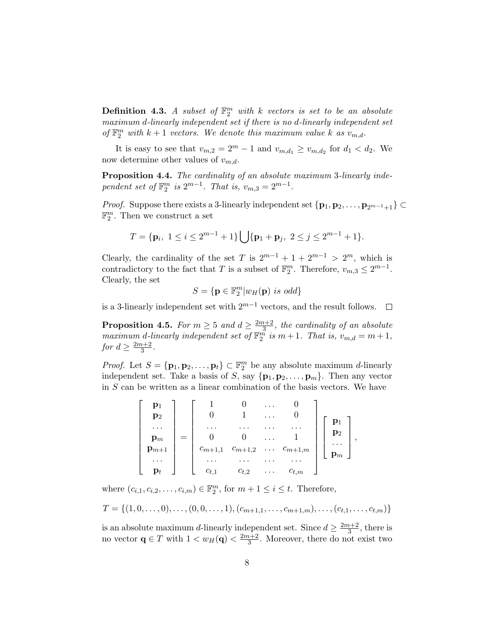**Definition 4.3.** A subset of  $\mathbb{F}_2^m$  with k vectors is set to be an absolute maximum d-linearly independent set if there is no d-linearly independent set of  $\mathbb{F}_2^m$  with  $k+1$  vectors. We denote this maximum value k as  $v_{m,d}$ .

It is easy to see that  $v_{m,2} = 2^m - 1$  and  $v_{m,d_1} \ge v_{m,d_2}$  for  $d_1 < d_2$ . We now determine other values of  $v_{m,d}$ .

Proposition 4.4. The cardinality of an absolute maximum 3-linearly independent set of  $\mathbb{F}_2^m$  is  $2^{m-1}$ . That is,  $v_{m,3} = 2^{m-1}$ .

*Proof.* Suppose there exists a 3-linearly independent set  $\{p_1, p_2, \ldots, p_{2^{m-1}+1}\}\subset$  $\mathbb{F}_2^m$ . Then we construct a set

$$
T = \{ \mathbf{p}_i, \ 1 \le i \le 2^{m-1} + 1 \} \bigcup \{ \mathbf{p}_1 + \mathbf{p}_j, \ 2 \le j \le 2^{m-1} + 1 \}.
$$

Clearly, the cardinality of the set T is  $2^{m-1} + 1 + 2^{m-1} > 2^m$ , which is contradictory to the fact that T is a subset of  $\mathbb{F}_2^m$ . Therefore,  $v_{m,3} \leq 2^{m-1}$ . Clearly, the set

$$
S = \{ \mathbf{p} \in \mathbb{F}_2^m | w_H(\mathbf{p}) \text{ is odd} \}
$$

is a 3-linearly independent set with  $2^{m-1}$  vectors, and the result follows.  $□$ 

**Proposition 4.5.** For  $m \geq 5$  and  $d \geq \frac{2m+2}{3}$  $\frac{n+2}{3}$ , the cardinality of an absolute maximum d-linearly independent set of  $\mathbb{F}_2^m$  is  $m+1$ . That is,  $v_{m,d}=m+1$ , for  $d \geq \frac{2m+2}{3}$  $\frac{i+2}{3}$ .

*Proof.* Let  $S = {\mathbf{p}_1, \mathbf{p}_2, ..., \mathbf{p}_t} \subset \mathbb{F}_2^m$  be any absolute maximum *d*-linearly independent set. Take a basis of S, say  $\{p_1, p_2, \ldots, p_m\}$ . Then any vector in  $S$  can be written as a linear combination of the basis vectors. We have

|                |                |             |             | .        |                      |                            |  |
|----------------|----------------|-------------|-------------|----------|----------------------|----------------------------|--|
|                | $\mathbf{p}_2$ |             |             | $\cdots$ |                      |                            |  |
|                | $\cdots$       |             |             |          |                      |                            |  |
| $\mathbf{p}_m$ |                |             |             |          |                      | $\mathbf{p}_2$             |  |
| $p_{m+1}$      |                | $c_{m+1,1}$ | $c_{m+1,2}$ |          | $\ldots$ $c_{m+1,m}$ | $\cdots$<br>$\mathbf{p}_m$ |  |
|                | $\cdots$       |             |             |          |                      |                            |  |
|                | $\mathbf{p}_t$ | $c_{t.1}$   | $c_{t,2}$   | $\cdots$ | $c_{t,m}$            |                            |  |

where  $(c_{i,1}, c_{i,2}, \ldots, c_{i,m}) \in \mathbb{F}_2^m$ , for  $m + 1 \leq i \leq t$ . Therefore,

$$
T = \{(1, 0, \ldots, 0), \ldots, (0, 0, \ldots, 1), (c_{m+1,1}, \ldots, c_{m+1,m}), \ldots, (c_{t,1}, \ldots, c_{t,m})\}
$$

is an absolute maximum d-linearly independent set. Since  $d \geq \frac{2m+2}{3}$ , there is s an absolute maximum a-meanly independent set. Since  $u \ge \frac{m}{3}$ <br>no vector  $\mathbf{q} \in T$  with  $1 < w_H(\mathbf{q}) < \frac{2m+2}{3}$ . Moreover, there do no  $\frac{n+2}{3}$ . Moreover, there do not exist two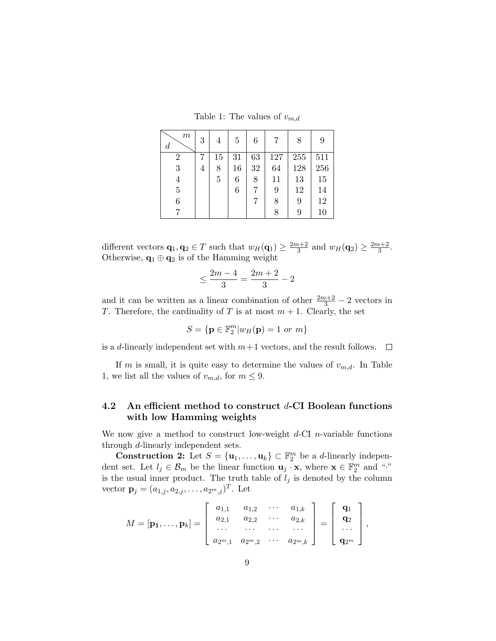Table 1: The values of  $v_{m,d}$ 

| $\,m$<br>$\overline{d}$ | 3 | 4  | 5  | 6  | 7   | 8   | 9   |
|-------------------------|---|----|----|----|-----|-----|-----|
| $\overline{2}$          |   | 15 | 31 | 63 | 127 | 255 | 511 |
| 3                       | 4 | 8  | 16 | 32 | 64  | 128 | 256 |
| $\overline{4}$          |   | 5  | 6  | 8  | 11  | 13  | 15  |
| $\bf 5$                 |   |    | 6  |    | 9   | 12  | 14  |
| 6                       |   |    |    |    | 8   | 9   | 12  |
|                         |   |    |    |    | 8   | 9   | 10  |

different vectors  $\mathbf{q}_1, \mathbf{q}_2 \in T$  such that  $w_H(\mathbf{q}_1) \geq \frac{2m+2}{3}$  $\frac{n+2}{3}$  and  $w_H(\mathbf{q}_2) \ge \frac{2m+2}{3}$  $\frac{i+2}{3}$ . Otherwise,  $\mathbf{q}_1 \oplus \mathbf{q}_2$  is of the Hamming weight

$$
\leq \frac{2m-4}{3} = \frac{2m+2}{3} - 2
$$

and it can be written as a linear combination of other  $\frac{2m+2}{3} - 2$  vectors in T. Therefore, the cardinality of T is at most  $m + 1$ . Clearly, the set

$$
S = \{ \mathbf{p} \in \mathbb{F}_2^m | w_H(\mathbf{p}) = 1 \text{ or } m \}
$$

is a d-linearly independent set with  $m+1$  vectors, and the result follows.  $\square$ 

If m is small, it is quite easy to determine the values of  $v_{m,d}$ . In Table 1, we list all the values of  $v_{m,d}$ , for  $m \leq 9$ .

### 4.2 An efficient method to construct  $d$ -CI Boolean functions with low Hamming weights

We now give a method to construct low-weight  $d$ -CI *n*-variable functions through d-linearly independent sets.

**Construction 2:** Let  $S = {\mathbf{u}_1, \ldots, \mathbf{u}_k} \subset \mathbb{F}_2^m$  be a *d*-linearly independent set. Let  $l_j \in \mathcal{B}_m$  be the linear function  $\mathbf{u}_j \cdot \mathbf{x}$ , where  $\mathbf{x} \in \mathbb{F}_2^m$  and "." is the usual inner product. The truth table of  $l_j$  is denoted by the column vector  $\mathbf{p}_j = (a_{1,j}, a_{2,j}, \dots, a_{2^m,j})^T$ . Let

$$
M = [\mathbf{p_1}, \ldots, \mathbf{p_k}] = \left[ \begin{array}{cccc} a_{1,1} & a_{1,2} & \cdots & a_{1,k} \\ a_{2,1} & a_{2,2} & \cdots & a_{2,k} \\ \cdots & \cdots & \cdots & \cdots \\ a_{2^m,1} & a_{2^m,2} & \cdots & a_{2^m,k} \end{array} \right] = \left[ \begin{array}{c} \mathbf{q_1} \\ \mathbf{q_2} \\ \cdots \\ \mathbf{q_{2^m}} \end{array} \right],
$$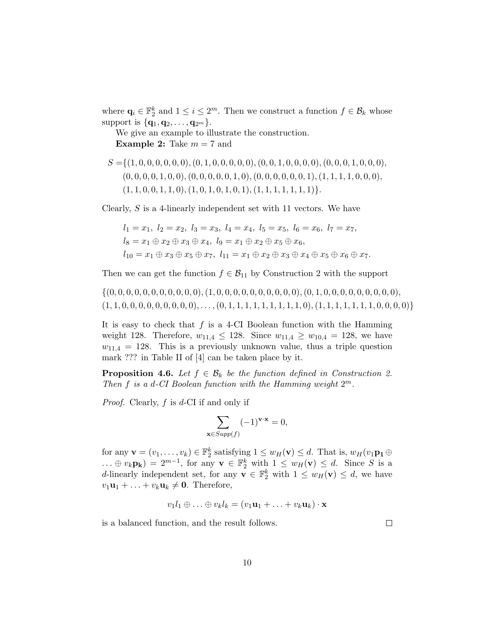where  $\mathbf{q}_i \in \mathbb{F}_2^k$  and  $1 \leq i \leq 2^m$ . Then we construct a function  $f \in \mathcal{B}_k$  whose support is  $\{q_1, q_2, \ldots, q_{2^m}\}.$ 

We give an example to illustrate the construction. **Example 2:** Take  $m = 7$  and

$$
S = \{(1, 0, 0, 0, 0, 0, 0), (0, 1, 0, 0, 0, 0, 0), (0, 0, 1, 0, 0, 0, 0), (0, 0, 0, 1, 0, 0, 0), (0, 0, 0, 1, 0, 0), (0, 0, 0, 0, 1, 0), (0, 0, 0, 0, 0, 0, 0, 1), (1, 1, 1, 1, 0, 0, 0), (1, 1, 0, 0, 1, 0, 1, 0, 1, 0, 1, 0, 1), (1, 1, 1, 1, 1, 1, 1)\}.
$$

Clearly, S is a 4-linearly independent set with 11 vectors. We have

$$
l_1 = x_1, l_2 = x_2, l_3 = x_3, l_4 = x_4, l_5 = x_5, l_6 = x_6, l_7 = x_7,
$$
  
\n
$$
l_8 = x_1 \oplus x_2 \oplus x_3 \oplus x_4, l_9 = x_1 \oplus x_2 \oplus x_5 \oplus x_6,
$$
  
\n
$$
l_{10} = x_1 \oplus x_3 \oplus x_5 \oplus x_7, l_{11} = x_1 \oplus x_2 \oplus x_3 \oplus x_4 \oplus x_5 \oplus x_6 \oplus x_7.
$$

Then we can get the function  $f \in \mathcal{B}_{11}$  by Construction 2 with the support

{(0, 0, 0, 0, 0, 0, 0, 0, 0, 0, 0),(1, 0, 0, 0, 0, 0, 0, 0, 0, 0, 0),(0, 1, 0, 0, 0, 0, 0, 0, 0, 0, 0), (1, 1, 0, 0, 0, 0, 0, 0, 0, 0, 0), . . . ,(0, 1, 1, 1, 1, 1, 1, 1, 1, 1, 0),(1, 1, 1, 1, 1, 1, 1, 0, 0, 0, 0)}

It is easy to check that  $f$  is a 4-CI Boolean function with the Hamming weight 128. Therefore,  $w_{11,4} \le 128$ . Since  $w_{11,4} \ge w_{10,4} = 128$ , we have  $w_{11,4} = 128$ . This is a previously unknown value, thus a triple question mark ??? in Table II of [4] can be taken place by it.

**Proposition 4.6.** Let  $f \in \mathcal{B}_k$  be the function defined in Construction 2. Then  $f$  is a d-CI Boolean function with the Hamming weight  $2^m$ .

*Proof.* Clearly,  $f$  is  $d$ -CI if and only if

$$
\sum_{\mathbf{x}\in Supp(f)} (-1)^{\mathbf{v}\cdot\mathbf{x}} = 0,
$$

for any  $\mathbf{v} = (v_1, \dots, v_k) \in \mathbb{F}_2^k$  satisfying  $1 \leq w_H(\mathbf{v}) \leq d$ . That is,  $w_H(v_1 \mathbf{p_1} \oplus$  $\dots \oplus v_k$ **p**<sub>k</sub> $) = 2^{m-1}$ , for any **v**  $\in \mathbb{F}_2^k$  with  $1 \leq w_H(\mathbf{v}) \leq d$ . Since S is a d-linearly independent set, for any  $\mathbf{v} \in \mathbb{F}_2^k$  with  $1 \leq w_H(\mathbf{v}) \leq d$ , we have  $v_1\mathbf{u}_1 + \ldots + v_k\mathbf{u}_k \neq \mathbf{0}$ . Therefore,

$$
v_1l_1 \oplus \ldots \oplus v_kl_k = (v_1\mathbf{u}_1 + \ldots + v_k\mathbf{u}_k) \cdot \mathbf{x}
$$

is a balanced function, and the result follows.

 $\Box$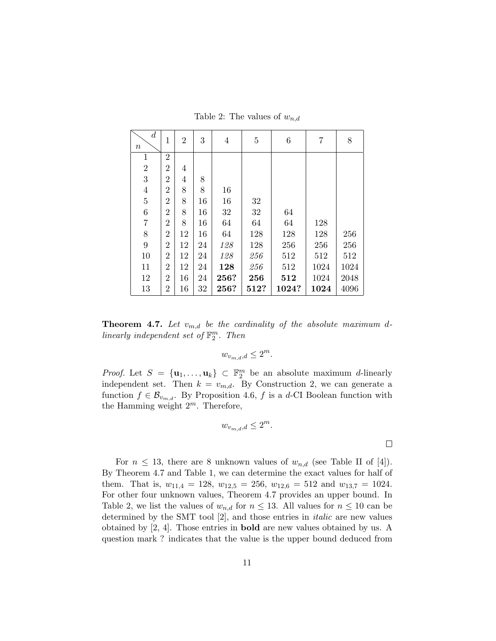| $\boldsymbol{d}$<br>$\, n$ | 1              | $\overline{2}$ | 3  | $\overline{4}$ | $\overline{5}$ | $\boldsymbol{6}$ | 7    | 8    |
|----------------------------|----------------|----------------|----|----------------|----------------|------------------|------|------|
| $\mathbf 1$                | $\overline{2}$ |                |    |                |                |                  |      |      |
| $\overline{2}$             | $\overline{2}$ | 4              |    |                |                |                  |      |      |
| 3                          | $\overline{2}$ | 4              | 8  |                |                |                  |      |      |
| $\overline{4}$             | $\overline{2}$ | 8              | 8  | 16             |                |                  |      |      |
| $\overline{5}$             | $\overline{2}$ | 8              | 16 | 16             | 32             |                  |      |      |
| $\!6\,$                    | $\overline{2}$ | 8              | 16 | 32             | 32             | 64               |      |      |
| $\overline{7}$             | $\overline{2}$ | 8              | 16 | 64             | 64             | 64               | 128  |      |
| 8                          | $\overline{2}$ | 12             | 16 | 64             | 128            | 128              | 128  | 256  |
| 9                          | $\overline{2}$ | 12             | 24 | 128            | 128            | 256              | 256  | 256  |
| 10                         | $\overline{2}$ | 12             | 24 | 128            | 256            | 512              | 512  | 512  |
| 11                         | 2              | 12             | 24 | 128            | 256            | 512              | 1024 | 1024 |
| 12                         | $\overline{2}$ | 16             | 24 | 256?           | 256            | 512              | 1024 | 2048 |
| 13                         | 2              | 16             | 32 | 256?           | 512?           | 1024?            | 1024 | 4096 |

Table 2: The values of  $w_{n,d}$ 

**Theorem 4.7.** Let  $v_{m,d}$  be the cardinality of the absolute maximum dlinearly independent set of  $\mathbb{F}_2^m$ . Then

$$
w_{v_{m,d},d} \le 2^m.
$$

*Proof.* Let  $S = {\mathbf{u}_1, ..., \mathbf{u}_k} \subset \mathbb{F}_2^m$  be an absolute maximum *d*-linearly independent set. Then  $k = v_{m,d}$ . By Construction 2, we can generate a function  $f \in \mathcal{B}_{v_{m,d}}$ . By Proposition 4.6, f is a d-CI Boolean function with the Hamming weight  $2^m$ . Therefore,

$$
w_{v_{m,d},d} \le 2^m.
$$

For  $n \leq 13$ , there are 8 unknown values of  $w_{n,d}$  (see Table II of [4]). By Theorem 4.7 and Table 1, we can determine the exact values for half of them. That is,  $w_{11,4} = 128$ ,  $w_{12,5} = 256$ ,  $w_{12,6} = 512$  and  $w_{13,7} = 1024$ . For other four unknown values, Theorem 4.7 provides an upper bound. In Table 2, we list the values of  $w_{n,d}$  for  $n \leq 13$ . All values for  $n \leq 10$  can be determined by the SMT tool [2], and those entries in italic are new values obtained by [2, 4]. Those entries in bold are new values obtained by us. A question mark ? indicates that the value is the upper bound deduced from

 $\Box$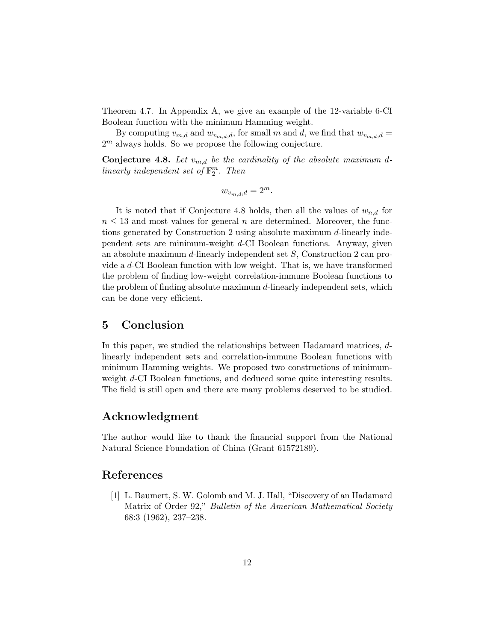Theorem 4.7. In Appendix A, we give an example of the 12-variable 6-CI Boolean function with the minimum Hamming weight.

By computing  $v_{m,d}$  and  $w_{v_{m,d},d}$ , for small m and d, we find that  $w_{v_{m,d},d}$  =  $2<sup>m</sup>$  always holds. So we propose the following conjecture.

**Conjecture 4.8.** Let  $v_{m,d}$  be the cardinality of the absolute maximum dlinearly independent set of  $\mathbb{F}_2^m$ . Then

$$
w_{v_{m,d},d} = 2^m.
$$

It is noted that if Conjecture 4.8 holds, then all the values of  $w_{n,d}$  for  $n \leq 13$  and most values for general n are determined. Moreover, the functions generated by Construction 2 using absolute maximum d-linearly independent sets are minimum-weight d-CI Boolean functions. Anyway, given an absolute maximum d-linearly independent set S, Construction 2 can provide a d-CI Boolean function with low weight. That is, we have transformed the problem of finding low-weight correlation-immune Boolean functions to the problem of finding absolute maximum d-linearly independent sets, which can be done very efficient.

## 5 Conclusion

In this paper, we studied the relationships between Hadamard matrices, dlinearly independent sets and correlation-immune Boolean functions with minimum Hamming weights. We proposed two constructions of minimumweight d-CI Boolean functions, and deduced some quite interesting results. The field is still open and there are many problems deserved to be studied.

# Acknowledgment

The author would like to thank the financial support from the National Natural Science Foundation of China (Grant 61572189).

### References

[1] L. Baumert, S. W. Golomb and M. J. Hall, "Discovery of an Hadamard Matrix of Order 92," Bulletin of the American Mathematical Society 68:3 (1962), 237–238.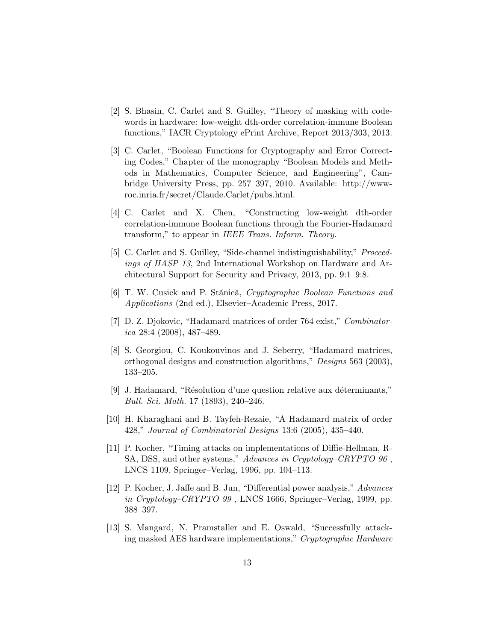- [2] S. Bhasin, C. Carlet and S. Guilley, "Theory of masking with codewords in hardware: low-weight dth-order correlation-immune Boolean functions," IACR Cryptology ePrint Archive, Report 2013/303, 2013.
- [3] C. Carlet, "Boolean Functions for Cryptography and Error Correcting Codes," Chapter of the monography "Boolean Models and Methods in Mathematics, Computer Science, and Engineering", Cambridge University Press, pp. 257–397, 2010. Available: http://wwwroc.inria.fr/secret/Claude.Carlet/pubs.html.
- [4] C. Carlet and X. Chen, "Constructing low-weight dth-order correlation-immune Boolean functions through the Fourier-Hadamard transform," to appear in IEEE Trans. Inform. Theory.
- [5] C. Carlet and S. Guilley, "Side-channel indistinguishability," *Proceed*ings of HASP 13, 2nd International Workshop on Hardware and Architectural Support for Security and Privacy, 2013, pp. 9:1–9:8.
- [6] T. W. Cusick and P. Stănică, Cryptographic Boolean Functions and Applications (2nd ed.), Elsevier–Academic Press, 2017.
- [7] D. Z. Djokovic, "Hadamard matrices of order 764 exist," Combinatorica 28:4 (2008), 487-489.
- [8] S. Georgiou, C. Koukouvinos and J. Seberry, "Hadamard matrices, orthogonal designs and construction algorithms," Designs 563 (2003), 133–205.
- [9] J. Hadamard, "Résolution d'une question relative aux déterminants," Bull. Sci. Math. 17 (1893), 240–246.
- [10] H. Kharaghani and B. Tayfeh-Rezaie, "A Hadamard matrix of order 428," Journal of Combinatorial Designs 13:6 (2005), 435–440.
- [11] P. Kocher, "Timing attacks on implementations of Diffie-Hellman, R-SA, DSS, and other systems," Advances in Cryptology–CRYPTO 96 , LNCS 1109, Springer–Verlag, 1996, pp. 104–113.
- [12] P. Kocher, J. Jaffe and B. Jun, "Differential power analysis," Advances in Cryptology–CRYPTO 99 , LNCS 1666, Springer–Verlag, 1999, pp. 388–397.
- [13] S. Mangard, N. Pramstaller and E. Oswald, "Successfully attacking masked AES hardware implementations," Cryptographic Hardware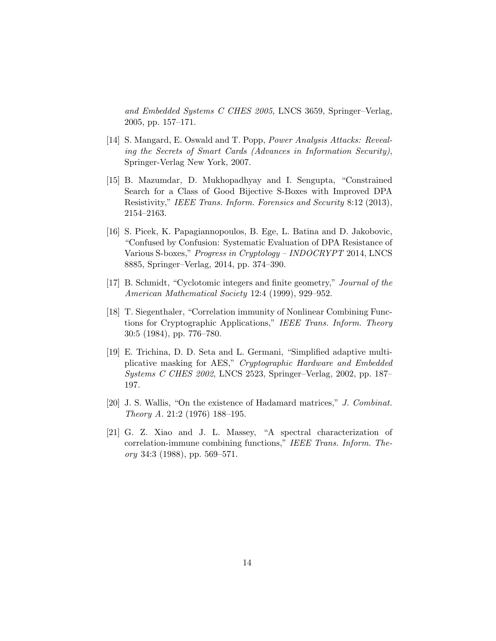and Embedded Systems C CHES 2005, LNCS 3659, Springer–Verlag, 2005, pp. 157–171.

- [14] S. Mangard, E. Oswald and T. Popp, Power Analysis Attacks: Revealing the Secrets of Smart Cards (Advances in Information Security), Springer-Verlag New York, 2007.
- [15] B. Mazumdar, D. Mukhopadhyay and I. Sengupta, "Constrained Search for a Class of Good Bijective S-Boxes with Improved DPA Resistivity," IEEE Trans. Inform. Forensics and Security 8:12 (2013), 2154–2163.
- [16] S. Picek, K. Papagiannopoulos, B. Ege, L. Batina and D. Jakobovic, "Confused by Confusion: Systematic Evaluation of DPA Resistance of Various S-boxes," Progress in Cryptology – INDOCRYPT 2014, LNCS 8885, Springer–Verlag, 2014, pp. 374–390.
- [17] B. Schmidt, "Cyclotomic integers and finite geometry," Journal of the American Mathematical Society 12:4 (1999), 929–952.
- [18] T. Siegenthaler, "Correlation immunity of Nonlinear Combining Functions for Cryptographic Applications," IEEE Trans. Inform. Theory 30:5 (1984), pp. 776–780.
- [19] E. Trichina, D. D. Seta and L. Germani, "Simplified adaptive multiplicative masking for AES," Cryptographic Hardware and Embedded Systems C CHES 2002, LNCS 2523, Springer–Verlag, 2002, pp. 187– 197.
- [20] J. S. Wallis, "On the existence of Hadamard matrices," J. Combinat. Theory A. 21:2 (1976) 188–195.
- [21] G. Z. Xiao and J. L. Massey, "A spectral characterization of correlation-immune combining functions," IEEE Trans. Inform. Theory 34:3 (1988), pp. 569–571.